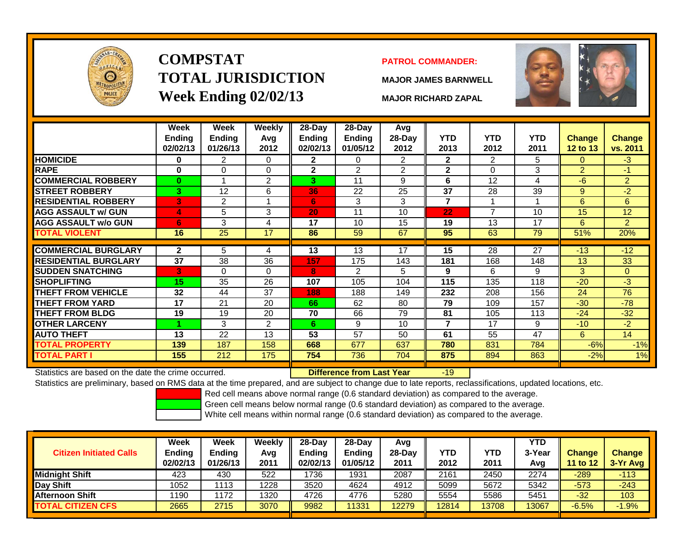

# **COMPSTATTOTAL JURISDICTIONWeek Ending 02/02/13 MAJOR RICHARD ZAPAL**

## **PATROL COMMANDER:**

**MAJOR JAMES BARNWELL**



|                                                      | Week<br><b>Ending</b><br>02/02/13 | <b>Week</b><br><b>Ending</b><br>01/26/13 | Weekly<br>Avg<br>2012 | 28-Day<br><b>Ending</b><br>02/02/13 | $28$ -Day<br><b>Ending</b><br>01/05/12 | Avg<br>28-Day<br>2012 | <b>YTD</b><br>2013 | <b>YTD</b><br>2012 | <b>YTD</b><br>2011 | <b>Change</b><br><b>12 to 13</b> | <b>Change</b><br>vs. 2011 |
|------------------------------------------------------|-----------------------------------|------------------------------------------|-----------------------|-------------------------------------|----------------------------------------|-----------------------|--------------------|--------------------|--------------------|----------------------------------|---------------------------|
| <b>HOMICIDE</b>                                      | 0                                 | 2                                        | 0                     | $\mathbf{2}$                        | 0                                      | $\overline{2}$        | $\mathbf{2}$       | $\overline{2}$     | 5                  | $\Omega$                         | $-3$                      |
| <b>RAPE</b>                                          | 0                                 | $\Omega$                                 | 0                     | $\mathbf{2}$                        | $\overline{2}$                         | $\overline{2}$        | $\mathbf{2}$       | 0                  | 3                  | $\overline{2}$                   | -1.                       |
| <b>COMMERCIAL ROBBERY</b>                            | $\bf{0}$                          |                                          | 2                     | 3.                                  | 11                                     | 9                     | 6                  | 12                 | 4                  | $-6$                             | $\overline{2}$            |
| <b>STREET ROBBERY</b>                                | 3                                 | 12                                       | 6                     | 36                                  | 22                                     | 25                    | 37                 | 28                 | 39                 | 9                                | $-2$                      |
| <b>RESIDENTIAL ROBBERY</b>                           | B                                 | 2                                        |                       | 6.                                  | 3                                      | 3                     | $\overline{7}$     |                    |                    | 6                                | 6                         |
| <b>AGG ASSAULT w/ GUN</b>                            | 4                                 | 5                                        | 3                     | 20                                  | 11                                     | 10                    | 22                 | $\overline{7}$     | 10                 | 15                               | 12                        |
| <b>AGG ASSAULT w/o GUN</b>                           | 6                                 | 3                                        | 4                     | 17                                  | 10                                     | 15                    | 19                 | 13                 | 17                 | 6                                | $\overline{2}$            |
| <b>TOTAL VIOLENT</b>                                 | 16                                | 25                                       | 17                    | 86                                  | 59                                     | 67                    | 95                 | 63                 | 79                 | 51%                              | 20%                       |
|                                                      |                                   |                                          |                       |                                     |                                        |                       |                    |                    |                    |                                  |                           |
| <b>COMMERCIAL BURGLARY</b>                           | $\overline{2}$                    | 5.                                       | 4                     | 13                                  | 13                                     | 17                    | 15                 | 28                 | 27                 | $-13$                            | $-12$                     |
| <b>RESIDENTIAL BURGLARY</b>                          | 37                                | 38                                       | 36                    | 157                                 | 175                                    | 143                   | 181                | 168                | 148                | 13                               | 33                        |
| <b>SUDDEN SNATCHING</b>                              | 3                                 | $\Omega$                                 | $\mathbf 0$           | 8                                   | $\overline{2}$                         | 5                     | 9                  | 6                  | 9                  | 3                                | $\overline{0}$            |
| SHOPLIFTING                                          | 15                                | 35                                       | 26                    | 107                                 | 105                                    | 104                   | 115                | 135                | 118                | $-20$                            | $-3$                      |
| <b>THEFT FROM VEHICLE</b>                            | 32                                | 44                                       | 37                    | 188                                 | 188                                    | 149                   | 232                | 208                | 156                | 24                               | 76                        |
| <b>THEFT FROM YARD</b>                               | 17                                | 21                                       | 20                    | 66                                  | 62                                     | 80                    | 79                 | 109                | 157                | $-30$                            | $-78$                     |
| THEFT FROM BLDG                                      | 19                                | 19                                       | 20                    | 70                                  | 66                                     | 79                    | 81                 | 105                | 113                | $-24$                            | $-32$                     |
| <b>OTHER LARCENY</b>                                 |                                   | 3                                        | $\overline{2}$        | 6.                                  | 9                                      | 10                    | 7                  | 17                 | 9                  | $-10$                            | $-2$                      |
| <b>AUTO THEFT</b>                                    | 13                                | 22                                       | 13                    | 53                                  | 57                                     | 50                    | 61                 | 55                 | 47                 | 6                                | 14                        |
| <b>TOTAL PROPERTY</b>                                | 139                               | 187                                      | 158                   | 668                                 | 677                                    | 637                   | 780                | 831                | 784                | $-6%$                            | $-1%$                     |
| <b>TOTAL PART I</b>                                  | 155                               | 212                                      | 175                   | 754                                 | 736                                    | 704                   | 875                | 894                | 863                | $-2%$                            | 1%                        |
| Statistics are based on the date the crime occurred. |                                   |                                          |                       |                                     | Difference from Last Year              |                       | $-19$              |                    |                    |                                  |                           |

Statistics are based on the date the crime occurred. **Difference from Last Year** 

Statistics are preliminary, based on RMS data at the time prepared, and are subject to change due to late reports, reclassifications, updated locations, etc.

Red cell means above normal range (0.6 standard deviation) as compared to the average.

Green cell means below normal range (0.6 standard deviation) as compared to the average.

| <b>Citizen Initiated Calls</b> | Week<br><b>Ending</b><br>02/02/13 | <b>Week</b><br><b>Ending</b><br>01/26/13 | Weekly<br>Avg<br>2011 | $28 - Day$<br><b>Endina</b><br>02/02/13 | $28-Dav$<br><b>Ending</b><br>01/05/12 | Avg<br>$28-Day$<br>2011 | YTD<br>2012 | <b>YTD</b><br>2011 | <b>YTD</b><br>3-Year<br>Avg | <b>Change</b><br><b>11 to 12</b> | <b>Change</b><br>3-Yr Avg |
|--------------------------------|-----------------------------------|------------------------------------------|-----------------------|-----------------------------------------|---------------------------------------|-------------------------|-------------|--------------------|-----------------------------|----------------------------------|---------------------------|
| <b>Midnight Shift</b>          | 423                               | 430                                      | 522                   | 1736                                    | 1931                                  | 2087                    | 2161        | 2450               | 2274                        | $-289$                           | $-113$                    |
| Day Shift                      | 1052                              | 113                                      | 1228                  | 3520                                    | 4624                                  | 4912                    | 5099        | 5672               | 5342                        | $-573$                           | $-243$                    |
| Afternoon Shift                | 1190                              | 172                                      | 1320                  | 4726                                    | 4776                                  | 5280                    | 5554        | 5586               | 5451                        | $-32$                            | 103                       |
| <b>TOTAL CITIZEN CFS</b>       | 2665                              | 2715                                     | 3070                  | 9982                                    | 11331                                 | 12279                   | 12814       | 13708              | 13067                       | $-6.5%$                          | $-1.9%$                   |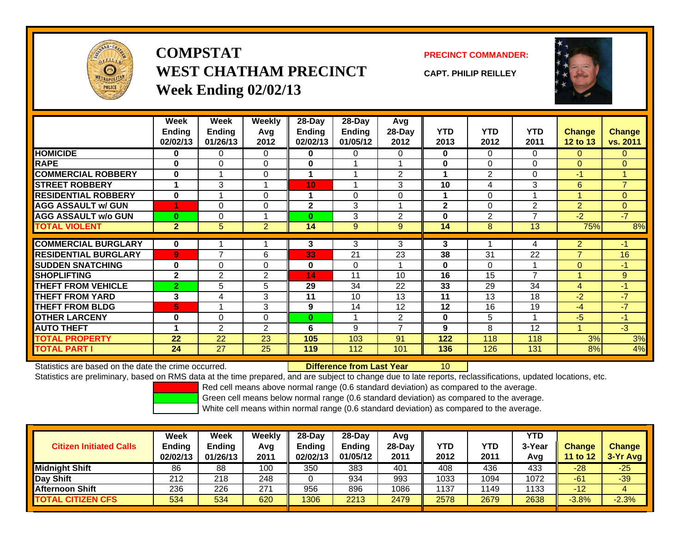

**COMPSTATWEST CHATHAM PRECINCTWeek Ending 02/02/13**

**PRECINCT COMMANDER:**

**CAPT. PHILIP REILLEY**



|                              | Week           | Week           | Weekly         | $28-Day$       | $28-Day$      | <b>Avg</b>               |              |                |                |                |                |
|------------------------------|----------------|----------------|----------------|----------------|---------------|--------------------------|--------------|----------------|----------------|----------------|----------------|
|                              | <b>Ending</b>  | Ending         | Avg            | Ending         | <b>Ending</b> | 28-Day                   | <b>YTD</b>   | <b>YTD</b>     | <b>YTD</b>     | <b>Change</b>  | <b>Change</b>  |
|                              | 02/02/13       | 01/26/13       | 2012           | 02/02/13       | 01/05/12      | 2012                     | 2013         | 2012           | 2011           | 12 to 13       | vs. 2011       |
| <b>HOMICIDE</b>              | 0              | 0              | 0              | 0              | 0             | 0                        | 0            | $\Omega$       | $\Omega$       | $\mathbf{0}$   | $\Omega$       |
| <b>RAPE</b>                  | $\bf{0}$       | $\Omega$       | 0              | 0              |               |                          | $\bf{0}$     | $\Omega$       | $\Omega$       | $\Omega$       | $\Omega$       |
| <b>COMMERCIAL ROBBERY</b>    | $\bf{0}$       |                | 0              |                |               | $\overline{2}$           | 1            | $\overline{2}$ | $\Omega$       | $-1$           | 1              |
| <b>STREET ROBBERY</b>        |                | 3              |                | 10             |               | 3                        | 10           | 4              | 3              | 6              | $\overline{7}$ |
| <b>RESIDENTIAL ROBBERY</b>   | $\bf{0}$       |                | 0              |                | 0             | $\Omega$                 | 1            | $\Omega$       |                | 4              | $\Omega$       |
| <b>AGG ASSAULT w/ GUN</b>    | 1              | 0              | 0              | $\overline{2}$ | 3             |                          | $\mathbf{2}$ | $\Omega$       | $\overline{2}$ | $\overline{2}$ | $\overline{0}$ |
| <b>AGG ASSAULT w/o GUN</b>   | $\bf{0}$       | 0              | 4              | $\bf{0}$       | 3             | $\overline{2}$           | $\bf{0}$     | $\overline{2}$ | 7              | $-2$           | $-7$           |
| <b>TOTAL VIOLENT</b>         | $\overline{2}$ | 5              | $\overline{2}$ | 14             | $9\,$         | 9                        | 14           | 8              | 13             | 75%            | 8%             |
|                              |                |                |                |                |               |                          |              |                |                |                |                |
| <b>COMMERCIAL BURGLARY</b>   | $\bf{0}$       |                |                | 3              | 3             | 3                        | 3            |                | 4              | $\overline{2}$ | $-1$           |
| <b>IRESIDENTIAL BURGLARY</b> | $\overline{9}$ | $\overline{ }$ | 6              | 33             | 21            | 23                       | 38           | 31             | 22             | $\overline{7}$ | 16             |
| <b>SUDDEN SNATCHING</b>      | $\bf{0}$       | 0              | 0              | $\bf{0}$       | $\Omega$      |                          | $\bf{0}$     | $\Omega$       |                | $\Omega$       | $-1$           |
| <b>SHOPLIFTING</b>           | $\mathbf{2}$   | $\overline{2}$ | 2              | 14             | 11            | 10                       | 16           | 15             | $\overline{7}$ | 4              | 9              |
| <b>THEFT FROM VEHICLE</b>    | $\overline{2}$ | 5              | 5              | 29             | 34            | 22                       | 33           | 29             | 34             | $\overline{4}$ | $-1$           |
| <b>THEFT FROM YARD</b>       | 3              | 4              | 3              | 11             | 10            | 13                       | 11           | 13             | 18             | $-2$           | $-7$           |
| <b>THEFT FROM BLDG</b>       | 5              |                | 3              | 9              | 14            | 12                       | 12           | 16             | 19             | $-4$           | $-7$           |
| <b>OTHER LARCENY</b>         | $\bf{0}$       | 0              | 0              | $\bf{0}$       |               | 2                        | $\mathbf 0$  | 5              |                | $-5$           | $-1$           |
| <b>AUTO THEFT</b>            | -1             | $\overline{2}$ | $\overline{2}$ | 6              | 9             | $\overline{\phantom{a}}$ | 9            | 8              | 12             | 4              | $-3$           |
| <b>TOTAL PROPERTY</b>        | 22             | 22             | 23             | 105            | 103           | 91                       | 122          | 118            | 118            | 3%             | 3%             |
| <b>TOTAL PART I</b>          | 24             | 27             | 25             | 119            | 112           | 101                      | 136          | 126            | 131            | 8%             | 4%             |

Statistics are based on the date the crime occurred. **Difference from Last Year** 

Statistics are preliminary, based on RMS data at the time prepared, and are subject to change due to late reports, reclassifications, updated locations, etc.

10

Red cell means above normal range (0.6 standard deviation) as compared to the average.

Green cell means below normal range (0.6 standard deviation) as compared to the average.

| <b>Citizen Initiated Calls</b> | Week<br><b>Ending</b><br>02/02/13 | <b>Week</b><br><b>Ending</b><br>01/26/13 | Weekly<br>Avg<br>2011 | 28-Day<br><b>Ending</b><br>02/02/13 | 28-Dav<br><b>Ending</b><br>01/05/12 | Avg<br>28-Day<br>2011 | YTD<br>2012 | YTD<br>2011 | YTD<br>3-Year<br>Avg | <b>Change</b><br>11 to 12 | <b>Change</b><br>3-Yr Avg |
|--------------------------------|-----------------------------------|------------------------------------------|-----------------------|-------------------------------------|-------------------------------------|-----------------------|-------------|-------------|----------------------|---------------------------|---------------------------|
| <b>Midnight Shift</b>          | 86                                | 88                                       | 100                   | 350                                 | 383                                 | 401                   | 408         | 436         | 433                  | $-28$                     | $-25$                     |
| Day Shift                      | 212                               | 218                                      | 248                   |                                     | 934                                 | 993                   | 1033        | 1094        | 1072                 | $-61$                     | $-39$                     |
| Afternoon Shift                | 236                               | 226                                      | 271                   | 956                                 | 896                                 | 1086                  | 1137        | 149         | 1133                 | $-12$                     |                           |
| <b>TOTAL CITIZEN CFS</b>       | 534                               | 534                                      | 620                   | 1306                                | 2213                                | 2479                  | 2578        | 2679        | 2638                 | $-3.8%$                   | $-2.3%$                   |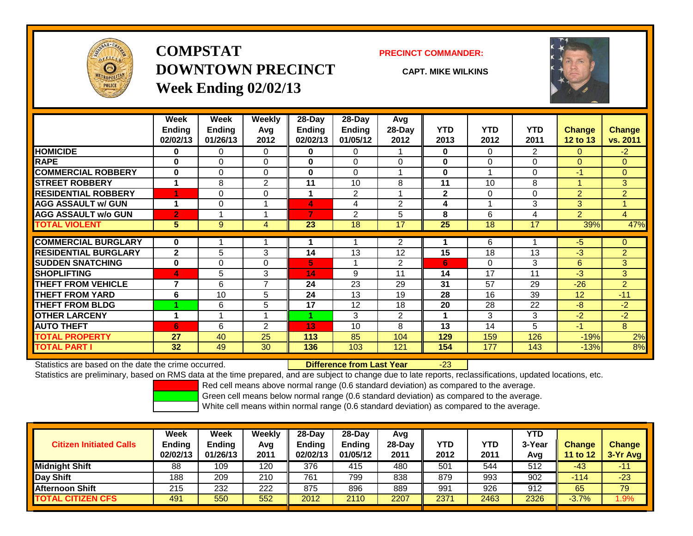

## **COMPSTATDOWNTOWN PRECINCTWeek Ending 02/02/13**

### **PRECINCT COMMANDER:**

**CAPT. MIKE WILKINS**



|                             | Week<br><b>Endina</b><br>02/02/13 | Week<br><b>Ending</b><br>01/26/13 | <b>Weekly</b><br>Avq<br>2012 | $28-Day$<br>Ending<br>02/02/13 | $28$ -Day<br><b>Ending</b><br>01/05/12 | Avg<br>28-Day<br>2012 | <b>YTD</b><br>2013 | <b>YTD</b><br>2012 | <b>YTD</b><br>2011 | <b>Change</b><br>12 to 13 | <b>Change</b><br>vs. 2011 |
|-----------------------------|-----------------------------------|-----------------------------------|------------------------------|--------------------------------|----------------------------------------|-----------------------|--------------------|--------------------|--------------------|---------------------------|---------------------------|
| <b>HOMICIDE</b>             | 0                                 | 0                                 | 0                            | 0                              | 0                                      |                       | 0                  | $\Omega$           | $\overline{2}$     | $\Omega$                  | $-2$                      |
| <b>RAPE</b>                 | $\bf{0}$                          | 0                                 | $\Omega$                     | $\bf{0}$                       | $\Omega$                               | $\Omega$              | 0                  | $\Omega$           | 0                  | $\Omega$                  | $\Omega$                  |
| <b>COMMERCIAL ROBBERY</b>   | $\bf{0}$                          | 0                                 | $\Omega$                     | 0                              | $\Omega$                               |                       | 0                  |                    | 0                  | $-1$                      | $\Omega$                  |
| <b>STREET ROBBERY</b>       | 4                                 | 8                                 | 2                            | 11                             | 10                                     | 8                     | 11                 | 10                 | 8                  | и                         | 3                         |
| <b>RESIDENTIAL ROBBERY</b>  |                                   | 0                                 | $\Omega$                     |                                | $\overline{2}$                         |                       | $\mathbf{2}$       | $\Omega$           | 0                  | $\overline{2}$            | $\overline{2}$            |
| <b>AGG ASSAULT w/ GUN</b>   | 1                                 | 0                                 |                              | 4                              | 4                                      | $\overline{2}$        | 4                  |                    | 3                  | 3                         | 4                         |
| <b>AGG ASSAULT w/o GUN</b>  | $\overline{2}$                    |                                   |                              | 7                              | 2                                      | 5                     | 8                  | 6                  | 4                  | $\overline{2}$            | $\overline{4}$            |
| <b>TOTAL VIOLENT</b>        | 5                                 | 9                                 | 4                            | 23                             | 18                                     | 17                    | 25                 | 18                 | 17                 | 39%                       | 47%                       |
| <b>COMMERCIAL BURGLARY</b>  | 0                                 |                                   |                              |                                |                                        | $\overline{2}$        |                    | 6                  |                    | $-5$                      | $\Omega$                  |
| <b>RESIDENTIAL BURGLARY</b> | $\mathbf{2}$                      | 5                                 | 3                            | 14                             | 13                                     | 12                    | 15                 | 18                 | 13                 | -3                        | $\overline{2}$            |
| <b>SUDDEN SNATCHING</b>     | $\bf{0}$                          | 0                                 | $\mathbf 0$                  | 5.                             |                                        | 2                     | 6                  | 0                  | 3                  | 6                         | 3                         |
| <b>SHOPLIFTING</b>          | 4                                 | 5                                 | 3                            | 14                             | 9                                      | 11                    | 14                 | 17                 | 11                 | -3                        | 3                         |
| <b>THEFT FROM VEHICLE</b>   | $\overline{7}$                    | 6                                 | $\overline{7}$               | 24                             | 23                                     | 29                    | 31                 | 57                 | 29                 | $-26$                     | $\overline{2}$            |
| <b>THEFT FROM YARD</b>      | 6                                 | 10                                | 5                            | 24                             | 13                                     | 19                    | 28                 | 16                 | 39                 | 12                        | $-11$                     |
| <b>THEFT FROM BLDG</b>      |                                   | 6                                 | 5                            | 17                             | 12                                     | 18                    | 20                 | 28                 | 22                 | -8                        | $-2$                      |
| <b>OTHER LARCENY</b>        | 1                                 |                                   |                              |                                | 3                                      | $\overline{2}$        |                    | 3                  | 3                  | $-2$                      | $-2$                      |
| <b>AUTO THEFT</b>           | 6                                 | 6                                 | $\overline{2}$               | 13                             | 10                                     | 8                     | 13                 | 14                 | 5                  | -1                        | 8                         |
| <b>TOTAL PROPERTY</b>       | 27                                | 40                                | 25                           | 113                            | 85                                     | 104                   | 129                | 159                | 126                | $-19%$                    | 2%                        |
| <b>TOTAL PART I</b>         | 32                                | 49                                | 30                           | 136                            | 103                                    | 121                   | 154                | 177                | 143                | $-13%$                    | 8%                        |

Statistics are based on the date the crime occurred. **Difference from Last Year** 

### r -23

Statistics are preliminary, based on RMS data at the time prepared, and are subject to change due to late reports, reclassifications, updated locations, etc.

Red cell means above normal range (0.6 standard deviation) as compared to the average.

Green cell means below normal range (0.6 standard deviation) as compared to the average.

| <b>Citizen Initiated Calls</b> | Week<br><b>Ending</b><br>02/02/13 | Week<br><b>Ending</b><br>01/26/13 | Weekly<br>Avg<br>2011 | $28-Day$<br><b>Ending</b><br>02/02/13 | $28-Day$<br>Ending<br>01/05/12 | Avg<br>28-Dav<br>2011 | YTD<br>2012 | YTD<br>2011 | <b>YTD</b><br>3-Year<br>Avg | <b>Change</b><br>11 to 12 | <b>Change</b><br>3-Yr Avg |
|--------------------------------|-----------------------------------|-----------------------------------|-----------------------|---------------------------------------|--------------------------------|-----------------------|-------------|-------------|-----------------------------|---------------------------|---------------------------|
| <b>Midnight Shift</b>          | 88                                | 109                               | 120                   | 376                                   | 415                            | 480                   | 501         | 544         | 512                         | -43                       | $-11$                     |
| Day Shift                      | 188                               | 209                               | 210                   | 761                                   | 799                            | 838                   | 879         | 993         | 902                         | -114                      | $-23$                     |
| <b>Afternoon Shift</b>         | 215                               | 232                               | 222                   | 875                                   | 896                            | 889                   | 991         | 926         | 912                         | 65                        | 79                        |
| TOTAL CITIZEN CFS              | 491                               | 550                               | 552                   | 2012                                  | 2110                           | 2207                  | 2371        | 2463        | 2326                        | $-3.7%$                   | $9\%$                     |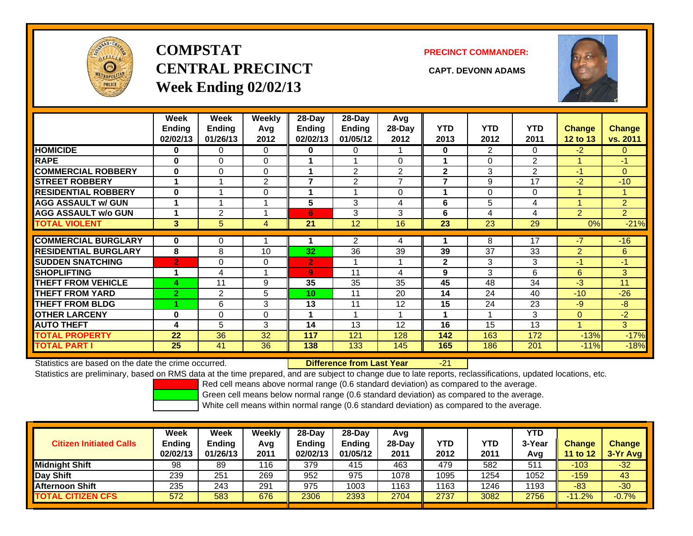

# **COMPSTATCENTRAL PRECINCT CAPT. DEVONN ADAMSWeek Ending 02/02/13**

**PRECINCT COMMANDER:**



|                             | Week<br><b>Ending</b><br>02/02/13 | Week<br><b>Ending</b><br>01/26/13 | Weekly<br>Avg<br>2012 | 28-Day<br>Endina<br>02/02/13 | 28-Day<br><b>Endina</b><br>01/05/12 | Avg<br>28-Day<br>2012 | <b>YTD</b><br>2013       | <b>YTD</b><br>2012 | <b>YTD</b><br>2011 | <b>Change</b><br>12 to 13 | Change<br>vs. 2011 |
|-----------------------------|-----------------------------------|-----------------------------------|-----------------------|------------------------------|-------------------------------------|-----------------------|--------------------------|--------------------|--------------------|---------------------------|--------------------|
| <b>HOMICIDE</b>             | 0                                 | 0                                 | $\Omega$              | 0                            | 0                                   |                       | $\bf{0}$                 | 2                  | 0                  | $-2$                      | 0                  |
| <b>RAPE</b>                 | $\bf{0}$                          | 0                                 | $\Omega$              |                              |                                     | $\Omega$              |                          | $\Omega$           | 2                  |                           | -1                 |
| <b>COMMERCIAL ROBBERY</b>   | $\bf{0}$                          | $\Omega$                          | $\Omega$              |                              | $\overline{2}$                      | $\overline{2}$        | $\mathbf{2}$             | 3                  | $\overline{2}$     | -1                        | $\overline{0}$     |
| <b>STREET ROBBERY</b>       | -1                                |                                   | $\overline{2}$        | $\overline{\phantom{a}}$     | $\overline{2}$                      | $\overline{ }$        | $\overline{\phantom{a}}$ | 9                  | 17                 | $-2$                      | $-10$              |
| <b>RESIDENTIAL ROBBERY</b>  | $\bf{0}$                          |                                   | 0                     |                              |                                     | $\Omega$              |                          | 0                  | $\Omega$           |                           |                    |
| <b>AGG ASSAULT w/ GUN</b>   |                                   |                                   |                       | 5                            | 3                                   | 4                     | 6                        | 5                  | 4                  |                           | $\overline{2}$     |
| <b>AGG ASSAULT w/o GUN</b>  |                                   | 2                                 |                       | 6                            | 3                                   | 3                     | 6                        | 4                  | 4                  | $\overline{2}$            | $\overline{2}$     |
| <b>TOTAL VIOLENT</b>        | 3                                 | 5                                 | 4                     | 21                           | 12                                  | 16                    | 23                       | 23                 | 29                 | 0%                        | $-21%$             |
|                             |                                   |                                   |                       |                              |                                     |                       |                          |                    |                    |                           |                    |
| <b>COMMERCIAL BURGLARY</b>  | 0                                 | 0                                 |                       |                              | 2                                   | 4                     |                          | 8                  | 17                 | $-7$                      | $-16$              |
| <b>RESIDENTIAL BURGLARY</b> | 8                                 | 8                                 | 10                    | 32                           | 36                                  | 39                    | 39                       | 37                 | 33                 | $\overline{2}$            | 6                  |
| <b>SUDDEN SNATCHING</b>     | $\overline{2}$                    | $\Omega$                          | $\Omega$              | $\overline{2}$               |                                     |                       | $\mathbf{2}$             | 3                  | 3                  | -1                        | $-1$               |
| <b>SHOPLIFTING</b>          |                                   | 4                                 |                       | 9                            | 11                                  | 4                     | 9                        | 3                  | 6                  | 6                         | 3                  |
| <b>THEFT FROM VEHICLE</b>   | 4                                 | 11                                | 9                     | 35                           | 35                                  | 35                    | 45                       | 48                 | 34                 | $-3$                      | 11                 |
| <b>THEFT FROM YARD</b>      | $\overline{2}$                    | 2                                 | 5                     | 10                           | 11                                  | 20                    | 14                       | 24                 | 40                 | $-10$                     | $-26$              |
| <b>THEFT FROM BLDG</b>      |                                   | 6                                 | 3                     | 13                           | 11                                  | 12                    | 15                       | 24                 | 23                 | $-9$                      | -8                 |
| <b>OTHER LARCENY</b>        | $\bf{0}$                          | $\Omega$                          | $\Omega$              |                              |                                     |                       |                          |                    | 3                  | $\mathbf{0}$              | $-2$               |
| <b>AUTO THEFT</b>           | 4                                 | 5                                 | 3                     | 14                           | 13                                  | 12                    | 16                       | 15                 | 13                 |                           | 3                  |
| <b>TOTAL PROPERTY</b>       | 22                                | 36                                | 32                    | 117                          | 121                                 | 128                   | 142                      | 163                | 172                | $-13%$                    | $-17%$             |
| <b>TOTAL PART I</b>         | 25                                | 41                                | 36                    | 138                          | 133                                 | 145                   | 165                      | 186                | 201                | $-11%$                    | $-18%$             |

Statistics are based on the date the crime occurred. **Difference from Last Year** 

-21

Statistics are preliminary, based on RMS data at the time prepared, and are subject to change due to late reports, reclassifications, updated locations, etc.

Red cell means above normal range (0.6 standard deviation) as compared to the average.

Green cell means below normal range (0.6 standard deviation) as compared to the average.

|                                | Week          | Week     | Weekly | $28-Dav$      | 28-Day        | Avg      |            |            | <b>YTD</b> |          |               |
|--------------------------------|---------------|----------|--------|---------------|---------------|----------|------------|------------|------------|----------|---------------|
| <b>Citizen Initiated Calls</b> | <b>Ending</b> | Ending   | Avg    | <b>Ending</b> | <b>Ending</b> | $28-Day$ | <b>YTD</b> | <b>YTD</b> | 3-Year     | Change   | <b>Change</b> |
|                                | 02/02/13      | 01/26/13 | 2011   | 02/02/13      | 01/05/12      | 2011     | 2012       | 2011       | Avg        | 11 to 12 | $3-Yr$ Avg    |
| <b>Midnight Shift</b>          | 98            | 89       | 116    | 379           | 415           | 463      | 479        | 582        | 511        | $-103$   | $-32$         |
| Day Shift                      | 239           | 251      | 269    | 952           | 975           | 1078     | 1095       | 1254       | 1052       | $-159$   | 43            |
| <b>Afternoon Shift</b>         | 235           | 243      | 291    | 975           | 1003          | 1163     | 1163       | 1246       | 1193       | $-83$    | $-30$         |
| <b>TOTAL CITIZEN CFS</b>       | 572           | 583      | 676    | 2306          | 2393          | 2704     | 2737       | 3082       | 2756       | $-11.2%$ | $-0.7%$       |
|                                |               |          |        |               |               |          |            |            |            |          |               |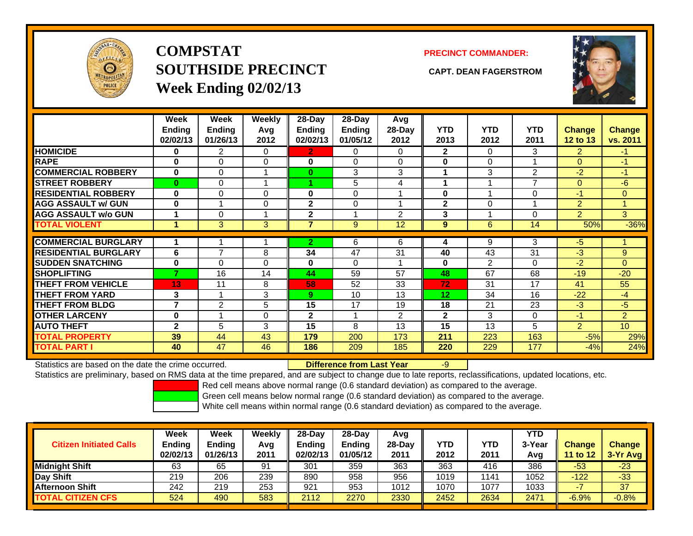

**COMPSTATSOUTHSIDE PRECINCT CAPT. DEAN FAGERSTROMWeek Ending 02/02/13**

## **PRECINCT COMMANDER:**



|                             | Week<br>Ending<br>02/02/13 | Week<br><b>Ending</b><br>01/26/13 | Weekly<br>Avg<br>2012 | 28-Day<br>Ending<br>02/02/13 | $28-Day$<br><b>Ending</b><br>01/05/12 | Avg<br>28-Day<br>2012 | <b>YTD</b><br>2013 | <b>YTD</b><br>2012 | <b>YTD</b><br>2011 | <b>Change</b><br>12 to 13 | Change<br>vs. 2011 |
|-----------------------------|----------------------------|-----------------------------------|-----------------------|------------------------------|---------------------------------------|-----------------------|--------------------|--------------------|--------------------|---------------------------|--------------------|
| <b>HOMICIDE</b>             | 0                          | 2                                 | 0                     | 2.                           | 0                                     | 0                     | $\mathbf{2}$       | 0                  | 3.                 | 2                         | $-1$               |
| <b>RAPE</b>                 | 0                          | 0                                 | 0                     | 0                            | 0                                     | $\Omega$              | 0                  | $\Omega$           |                    | $\Omega$                  | $-1$               |
| <b>COMMERCIAL ROBBERY</b>   | $\bf{0}$                   | 0                                 |                       | $\bf{0}$                     | 3                                     | 3                     | 1                  | 3                  | $\overline{2}$     | $-2$                      | $-1$               |
| <b>STREET ROBBERY</b>       | $\bf{0}$                   | 0                                 |                       |                              | 5                                     | 4                     | 1                  |                    | $\overline{ }$     | $\Omega$                  | $-6$               |
| <b>RESIDENTIAL ROBBERY</b>  | $\bf{0}$                   | 0                                 | $\Omega$              | 0                            | $\Omega$                              |                       | $\bf{0}$           |                    | 0                  | -1                        | $\Omega$           |
| <b>AGG ASSAULT w/ GUN</b>   | 0                          |                                   | $\Omega$              | $\mathbf{2}$                 | 0                                     |                       | $\mathbf{2}$       | $\Omega$           |                    | $\overline{2}$            | и                  |
| <b>AGG ASSAULT w/o GUN</b>  |                            | 0                                 |                       | $\mathbf{2}$                 |                                       | 2                     | 3                  |                    | 0                  | $\overline{2}$            | 3                  |
| <b>TOTAL VIOLENT</b>        | 1                          | 3                                 | 3 <sup>1</sup>        | 7                            | 9                                     | 12                    | 9                  | 6                  | 14                 | 50%                       | $-36%$             |
|                             | 1                          |                                   |                       |                              |                                       |                       |                    |                    |                    |                           |                    |
| <b>COMMERCIAL BURGLARY</b>  |                            |                                   |                       | $\mathbf{2}$                 | 6                                     | 6                     | 4                  | 9                  | 3                  | -5                        |                    |
| <b>RESIDENTIAL BURGLARY</b> | 6                          | 7                                 | 8                     | 34                           | 47                                    | 31                    | 40                 | 43                 | 31                 | $-3$                      | 9                  |
| <b>SUDDEN SNATCHING</b>     | 0                          | 0                                 | $\Omega$              | $\bf{0}$                     | 0                                     |                       | 0                  | $\mathfrak{p}$     | 0                  | $-2$                      | $\Omega$           |
| <b>SHOPLIFTING</b>          | 7                          | 16                                | 14                    | 44                           | 59                                    | 57                    | 48                 | 67                 | 68                 | $-19$                     | $-20$              |
| <b>THEFT FROM VEHICLE</b>   | 13                         | 11                                | 8                     | 58                           | 52                                    | 33                    | 72                 | 31                 | 17                 | 41                        | 55                 |
| <b>THEFT FROM YARD</b>      | 3                          | и                                 | 3                     | 9                            | 10                                    | 13                    | 12                 | 34                 | 16                 | $-22$                     | $-4$               |
| <b>THEFT FROM BLDG</b>      | $\overline{7}$             | 2                                 | 5                     | 15                           | 17                                    | 19                    | 18                 | 21                 | 23                 | $-3$                      | $-5$               |
| <b>OTHER LARCENY</b>        | 0                          |                                   | 0                     | $\mathbf{2}$                 |                                       | 2                     | $\mathbf{2}$       | 3                  | 0                  | $-1$                      | $\overline{2}$     |
| <b>AUTO THEFT</b>           | $\mathbf{2}$               | 5                                 | 3                     | 15                           | 8                                     | 13                    | 15                 | 13                 | 5                  | 2                         | 10                 |
| <b>TOTAL PROPERTY</b>       | 39                         | 44                                | 43                    | 179                          | 200                                   | 173                   | 211                | 223                | 163                | $-5%$                     | 29%                |
| <b>TOTAL PART I</b>         | 40                         | 47                                | 46                    | 186                          | 209                                   | 185                   | 220                | 229                | 177                | $-4%$                     | 24%                |

Statistics are based on the date the crime occurred. **Difference from Last Year** 

-9

Statistics are preliminary, based on RMS data at the time prepared, and are subject to change due to late reports, reclassifications, updated locations, etc.

Red cell means above normal range (0.6 standard deviation) as compared to the average.

Green cell means below normal range (0.6 standard deviation) as compared to the average.

| <b>Citizen Initiated Calls</b> | Week<br><b>Ending</b><br>02/02/13 | Week<br><b>Ending</b><br>01/26/13 | Weekly<br>Avg<br>2011 | $28-Day$<br><b>Ending</b><br>02/02/13 | 28-Day<br><b>Ending</b><br>01/05/12 | Avg<br>28-Dav<br>2011 | YTD<br>2012 | YTD<br>2011 | <b>YTD</b><br>3-Year<br>Avg | <b>Change</b><br>11 to $12$ | <b>Change</b><br>$3-Yr$ Avg |
|--------------------------------|-----------------------------------|-----------------------------------|-----------------------|---------------------------------------|-------------------------------------|-----------------------|-------------|-------------|-----------------------------|-----------------------------|-----------------------------|
| <b>Midnight Shift</b>          | 63                                | 65                                | 91                    | 301                                   | 359                                 | 363                   | 363         | 416         | 386                         | $-53$                       | $-23$                       |
| Day Shift                      | 219                               | 206                               | 239                   | 890                                   | 958                                 | 956                   | 1019        | 1141        | 1052                        | $-122$                      | $-33$                       |
| <b>Afternoon Shift</b>         | 242                               | 219                               | 253                   | 921                                   | 953                                 | 1012                  | 1070        | 1077        | 1033                        |                             | 37                          |
| <b>TOTAL CITIZEN CFS</b>       | 524                               | 490                               | 583                   | 2112                                  | 2270                                | 2330                  | 2452        | 2634        | 2471                        | $-6.9%$                     | $-0.8%$                     |
|                                |                                   |                                   |                       |                                       |                                     |                       |             |             |                             |                             |                             |